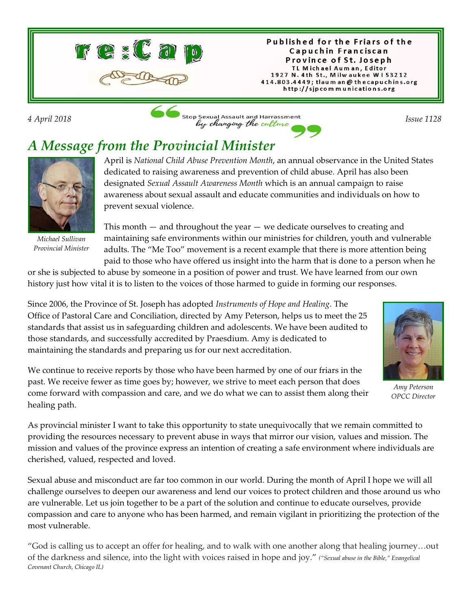

Published for the Friars of the Capuchin Franciscan Province of St. Joseph TL Michael Auman, Editor 1927 N. 4th St., Milwaukee W153212 414.803.4449; tlaum an @ thecapuchins.org http://sjpcommunications.org

*4 April 2018 Issue 1128* **Issue 1128 Issue 1128 Issue 1128** 

## *A Message from the Provincial Minister*



*Michael Sullivan Provincial Minister*

April is *National Child Abuse Prevention Month*, an annual observance in the United States dedicated to raising awareness and prevention of child abuse. April has also been designated *Sexual Assault Awareness Month* which is an annual campaign to raise awareness about sexual assault and educate communities and individuals on how to prevent sexual violence.

This month — and throughout the year — we dedicate ourselves to creating and maintaining safe environments within our ministries for children, youth and vulnerable adults. The "Me Too" movement is a recent example that there is more attention being paid to those who have offered us insight into the harm that is done to a person when he

or she is subjected to abuse by someone in a position of power and trust. We have learned from our own history just how vital it is to listen to the voices of those harmed to guide in forming our responses.



*Amy Peterson OPCC Director*

Since 2006, the Province of St. Joseph has adopted *Instruments of Hope and Healing*. The Office of Pastoral Care and Conciliation, directed by Amy Peterson, helps us to meet the 25 standards that assist us in safeguarding children and adolescents. We have been audited to those standards, and successfully accredited by Praesdium. Amy is dedicated to maintaining the standards and preparing us for our next accreditation.

We continue to receive reports by those who have been harmed by one of our friars in the past. We receive fewer as time goes by; however, we strive to meet each person that does come forward with compassion and care, and we do what we can to assist them along their healing path.

As provincial minister I want to take this opportunity to state unequivocally that we remain committed to providing the resources necessary to prevent abuse in ways that mirror our vision, values and mission. The mission and values of the province express an intention of creating a safe environment where individuals are cherished, valued, respected and loved.

Sexual abuse and misconduct are far too common in our world. During the month of April I hope we will all challenge ourselves to deepen our awareness and lend our voices to protect children and those around us who are vulnerable. Let us join together to be a part of the solution and continue to educate ourselves, provide compassion and care to anyone who has been harmed, and remain vigilant in prioritizing the protection of the most vulnerable.

"God is calling us to accept an offer for healing, and to walk with one another along that healing journey…out of the darkness and silence, into the light with voices raised in hope and joy." *("Sexual abuse in the Bible," Evangelical Covenant Church, Chicago IL)*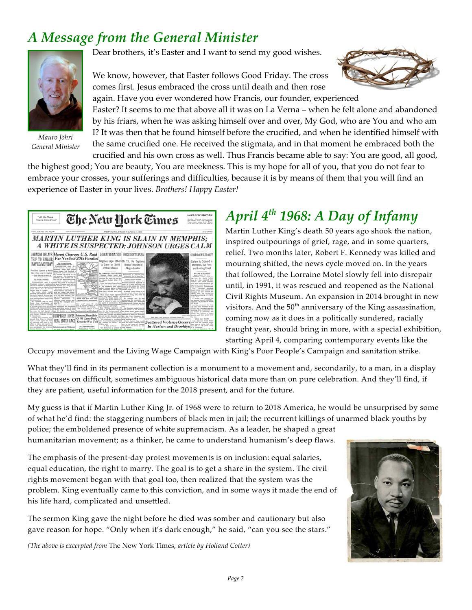## *A Message from the General Minister*



*Mauro Jöhri General Minister*

Dear brothers, it's Easter and I want to send my good wishes.

We know, however, that Easter follows Good Friday. The cross comes first. Jesus embraced the cross until death and then rose



again. Have you ever wondered how Francis, our founder, experienced Easter? It seems to me that above all it was on La Verna – when he felt alone and abandoned by his friars, when he was asking himself over and over, My God, who are You and who am I? It was then that he found himself before the crucified, and when he identified himself with the same crucified one. He received the stigmata, and in that moment he embraced both the crucified and his own cross as well. Thus Francis became able to say: You are good, all good,

the highest good; You are beauty, You are meekness. This is my hope for all of you, that you do not fear to embrace your crosses, your sufferings and difficulties, because it is by means of them that you will find an experience of Easter in your lives. *Brothers! Happy Easter!*



## *April 4th 1968: A Day of Infamy*

Martin Luther King's death 50 years ago shook the nation, inspired outpourings of grief, rage, and in some quarters, relief. Two months later, Robert F. Kennedy was killed and mourning shifted, the news cycle moved on. In the years that followed, the Lorraine Motel slowly fell into disrepair until, in 1991, it was rescued and reopened as the National Civil Rights Museum. An expansion in 2014 brought in new visitors. And the  $50<sup>th</sup>$  anniversary of the King assassination, coming now as it does in a politically sundered, racially fraught year, should bring in more, with a special exhibition, starting April 4, comparing contemporary events like the

Occupy movement and the Living Wage Campaign with King's Poor People's Campaign and sanitation strike.

What they'll find in its permanent collection is a monument to a movement and, secondarily, to a man, in a display that focuses on difficult, sometimes ambiguous historical data more than on pure celebration. And they'll find, if they are patient, useful information for the 2018 present, and for the future.

My guess is that if Martin Luther King Jr. of 1968 were to return to 2018 America, he would be unsurprised by some of what he'd find: the staggering numbers of black men in jail; the recurrent killings of unarmed black youths by

police; the emboldened presence of white supremacism. As a leader, he shaped a great humanitarian movement; as a thinker, he came to understand humanism's deep flaws.

The emphasis of the present-day protest movements is on inclusion: equal salaries, equal education, the right to marry. The goal is to get a share in the system. The civil rights movement began with that goal too, then realized that the system was the problem. King eventually came to this conviction, and in some ways it made the end of his life hard, complicated and unsettled.

The sermon King gave the night before he died was somber and cautionary but also gave reason for hope. "Only when it's dark enough," he said, "can you see the stars."

*(The above is excerpted from* The New York Times, *article by Holland Cotter)*

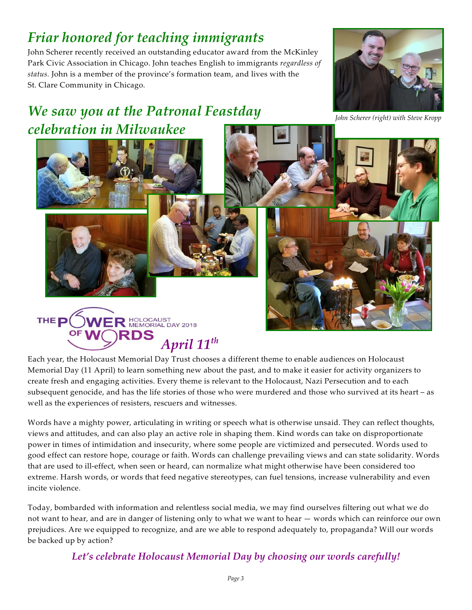# *Friar honored for teaching immigrants*

John Scherer recently received an outstanding educator award from the McKinley Park Civic Association in Chicago. John teaches English to immigrants *regardless of status.* John is a member of the province's formation team, and lives with the St. Clare Community in Chicago.

## *We saw you at the Patronal Feastday celebration in Milwaukee*



*John Scherer (right) with Steve Kropp*



Each year, the Holocaust Memorial Day Trust chooses a different theme to enable audiences on Holocaust Memorial Day (11 April) to learn something new about the past, and to make it easier for activity organizers to create fresh and engaging activities. Every theme is relevant to the Holocaust, Nazi Persecution and to each subsequent genocide, and has the life stories of those who were murdered and those who survived at its heart – as well as the experiences of resisters, rescuers and witnesses.

Words have a mighty power, articulating in writing or speech what is otherwise unsaid. They can reflect thoughts, views and attitudes, and can also play an active role in shaping them. Kind words can take on disproportionate power in times of intimidation and insecurity, where some people are victimized and persecuted. Words used to good effect can restore hope, courage or faith. Words can challenge prevailing views and can state solidarity. Words that are used to ill-effect, when seen or heard, can normalize what might otherwise have been considered too extreme. Harsh words, or words that feed negative stereotypes, can fuel tensions, increase vulnerability and even incite violence.

Today, bombarded with information and relentless social media, we may find ourselves filtering out what we do not want to hear, and are in danger of listening only to what we want to hear — words which can reinforce our own prejudices. Are we equipped to recognize, and are we able to respond adequately to, propaganda? Will our words be backed up by action?

#### *Let's celebrate Holocaust Memorial Day by choosing our words carefully!*